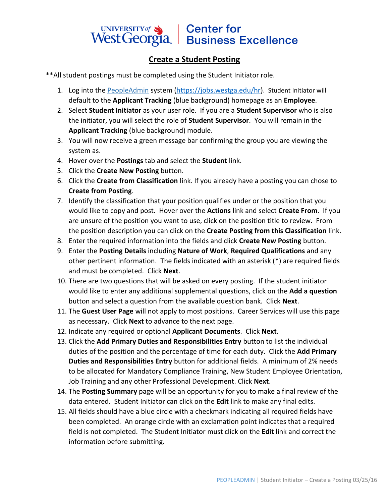## UNIVERSITY of Sand Center for<br>West Georgia. Business Excellence

## **Create a Student Posting**

\*\*All student postings must be completed using the Student Initiator role.

- 1. Log into the [PeopleAdmin](https://jobs.westga.edu/hr/sessions/new) system [\(https://jobs.westga.edu/hr\)](https://jobs.westga.edu/hr). Student Initiator will default to the **Applicant Tracking** (blue background) homepage as an **Employee**.
- 2. Select **Student Initiator** as your user role. If you are a **Student Supervisor** who is also the initiator, you will select the role of **Student Supervisor**. You will remain in the **Applicant Tracking** (blue background) module.
- 3. You will now receive a green message bar confirming the group you are viewing the system as.
- 4. Hover over the **Postings** tab and select the **Student** link.
- 5. Click the **Create New Posting** button.
- 6. Click the **Create from Classification** link. If you already have a posting you can chose to **Create from Posting**.
- 7. Identify the classification that your position qualifies under or the position that you would like to copy and post. Hover over the **Actions** link and select **Create From**. If you are unsure of the position you want to use, click on the position title to review. From the position description you can click on the **Create Posting from this Classification** link.
- 8. Enter the required information into the fields and click **Create New Posting** button.
- 9. Enter the **Posting Details** including **Nature of Work**, **Required Qualifications** and any other pertinent information. The fields indicated with an asterisk (**\***) are required fields and must be completed. Click **Next**.
- 10. There are two questions that will be asked on every posting. If the student initiator would like to enter any additional supplemental questions, click on the **Add a question** button and select a question from the available question bank. Click **Next**.
- 11. The **Guest User Page** will not apply to most positions. Career Services will use this page as necessary. Click **Next** to advance to the next page.
- 12. Indicate any required or optional **Applicant Documents**. Click **Next**.
- 13. Click the **Add Primary Duties and Responsibilities Entry** button to list the individual duties of the position and the percentage of time for each duty. Click the **Add Primary Duties and Responsibilities Entry** button for additional fields. A minimum of 2% needs to be allocated for Mandatory Compliance Training, New Student Employee Orientation, Job Training and any other Professional Development. Click **Next**.
- 14. The **Posting Summary** page will be an opportunity for you to make a final review of the data entered. Student Initiator can click on the **Edit** link to make any final edits.
- 15. All fields should have a blue circle with a checkmark indicating all required fields have been completed. An orange circle with an exclamation point indicates that a required field is not completed. The Student Initiator must click on the **Edit** link and correct the information before submitting.